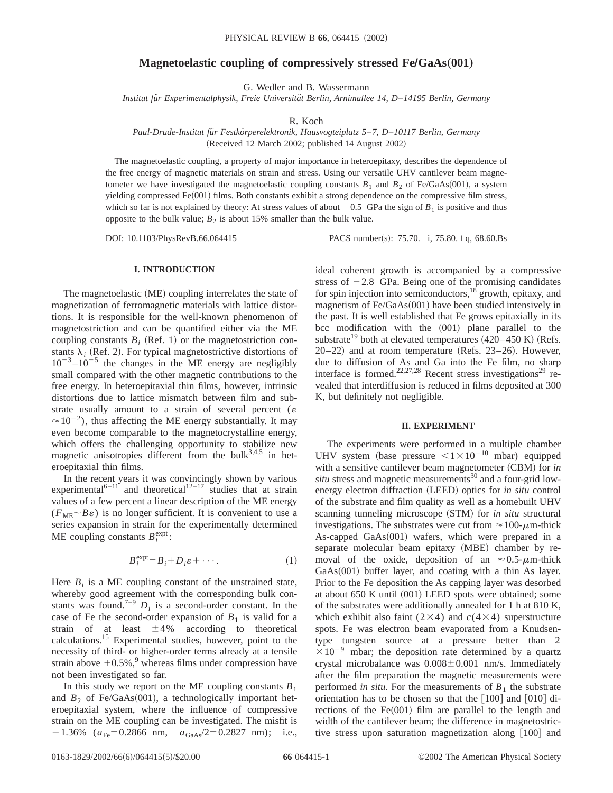# **Magnetoelastic coupling of compressively stressed FeÕGaAs**"**001**…

G. Wedler and B. Wassermann

*Institut fu¨r Experimentalphysik, Freie Universita¨t Berlin, Arnimallee 14, D*–*14195 Berlin, Germany*

R. Koch

*Paul-Drude-Institut fu¨r Festko¨rperelektronik, Hausvogteiplatz 5*–*7, D*–*10117 Berlin, Germany*

(Received 12 March 2002; published 14 August 2002)

The magnetoelastic coupling, a property of major importance in heteroepitaxy, describes the dependence of the free energy of magnetic materials on strain and stress. Using our versatile UHV cantilever beam magnetometer we have investigated the magnetoelastic coupling constants  $B_1$  and  $B_2$  of Fe/GaAs(001), a system yielding compressed  $Fe(001)$  films. Both constants exhibit a strong dependence on the compressive film stress, which so far is not explained by theory: At stress values of about  $-0.5$  GPa the sign of  $B_1$  is positive and thus opposite to the bulk value;  $B_2$  is about 15% smaller than the bulk value.

DOI: 10.1103/PhysRevB.66.064415 PACS number(s): 75.70.-i, 75.80.+q, 68.60.Bs

## **I. INTRODUCTION**

The magnetoelastic (ME) coupling interrelates the state of magnetization of ferromagnetic materials with lattice distortions. It is responsible for the well-known phenomenon of magnetostriction and can be quantified either via the ME coupling constants  $B_i$  (Ref. 1) or the magnetostriction constants  $\lambda_i$  (Ref. 2). For typical magnetostrictive distortions of  $10^{-3}$ - $10^{-5}$  the changes in the ME energy are negligibly small compared with the other magnetic contributions to the free energy. In heteroepitaxial thin films, however, intrinsic distortions due to lattice mismatch between film and substrate usually amount to a strain of several percent ( $\varepsilon$ )  $\approx 10^{-2}$ ), thus affecting the ME energy substantially. It may even become comparable to the magnetocrystalline energy, which offers the challenging opportunity to stabilize new magnetic anisotropies different from the bulk<sup>3,4,5</sup> in heteroepitaxial thin films.

In the recent years it was convincingly shown by various experimental<sup>6–11</sup> and theoretical<sup>12–17</sup> studies that at strain values of a few percent a linear description of the ME energy  $(F_{ME} \sim B\varepsilon)$  is no longer sufficient. It is convenient to use a series expansion in strain for the experimentally determined ME coupling constants  $B_i^{\text{expt}}$ :

$$
B_i^{\text{expt}} = B_i + D_i \varepsilon + \cdots. \tag{1}
$$

Here  $B_i$  is a ME coupling constant of the unstrained state, whereby good agreement with the corresponding bulk constants was found.<sup>7-9</sup>  $D_i$  is a second-order constant. In the case of Fe the second-order expansion of  $B_1$  is valid for a strain of at least  $\pm 4\%$  according to theoretical calculations.<sup>15</sup> Experimental studies, however, point to the necessity of third- or higher-order terms already at a tensile strain above  $+0.5\%$ , whereas films under compression have not been investigated so far.

In this study we report on the ME coupling constants  $B_1$ and  $B_2$  of Fe/GaAs(001), a technologically important heteroepitaxial system, where the influence of compressive strain on the ME coupling can be investigated. The misfit is  $-1.36\%$  ( $a_{Fe} = 0.2866$  nm,  $a_{GaAs}/2 = 0.2827$  nm); i.e., ideal coherent growth is accompanied by a compressive stress of  $-2.8$  GPa. Being one of the promising candidates for spin injection into semiconductors, $^{18}$  growth, epitaxy, and magnetism of  $Fe/GaAs(001)$  have been studied intensively in the past. It is well established that Fe grows epitaxially in its bcc modification with the  $(001)$  plane parallel to the substrate<sup>19</sup> both at elevated temperatures  $(420-450 \text{ K})$  (Refs.  $20-22$ ) and at room temperature (Refs.  $23-26$ ). However, due to diffusion of As and Ga into the Fe film, no sharp interface is formed.<sup>22,27,28</sup> Recent stress investigations<sup>29</sup> revealed that interdiffusion is reduced in films deposited at 300 K, but definitely not negligible.

### **II. EXPERIMENT**

The experiments were performed in a multiple chamber UHV system (base pressure  $\lt 1 \times 10^{-10}$  mbar) equipped with a sensitive cantilever beam magnetometer (CBM) for *in situ* stress and magnetic measurements<sup>30</sup> and a four-grid lowenergy electron diffraction (LEED) optics for *in situ* control of the substrate and film quality as well as a homebuilt UHV scanning tunneling microscope (STM) for *in situ* structural investigations. The substrates were cut from  $\approx 100$ - $\mu$ m-thick As-capped Ga $As(001)$  wafers, which were prepared in a separate molecular beam epitaxy (MBE) chamber by removal of the oxide, deposition of an  $\approx 0.5$ - $\mu$ m-thick GaAs(001) buffer layer, and coating with a thin As layer. Prior to the Fe deposition the As capping layer was desorbed at about  $650$  K until  $(001)$  LEED spots were obtained; some of the substrates were additionally annealed for 1 h at 810 K, which exhibit also faint  $(2\times4)$  and  $c(4\times4)$  superstructure spots. Fe was electron beam evaporated from a Knudsentype tungsten source at a pressure better than 2  $\times 10^{-9}$  mbar; the deposition rate determined by a quartz crystal microbalance was  $0.008 \pm 0.001$  nm/s. Immediately after the film preparation the magnetic measurements were performed *in situ*. For the measurements of  $B_1$  the substrate orientation has to be chosen so that the  $[100]$  and  $[010]$  directions of the  $Fe(001)$  film are parallel to the length and width of the cantilever beam; the difference in magnetostrictive stress upon saturation magnetization along  $[100]$  and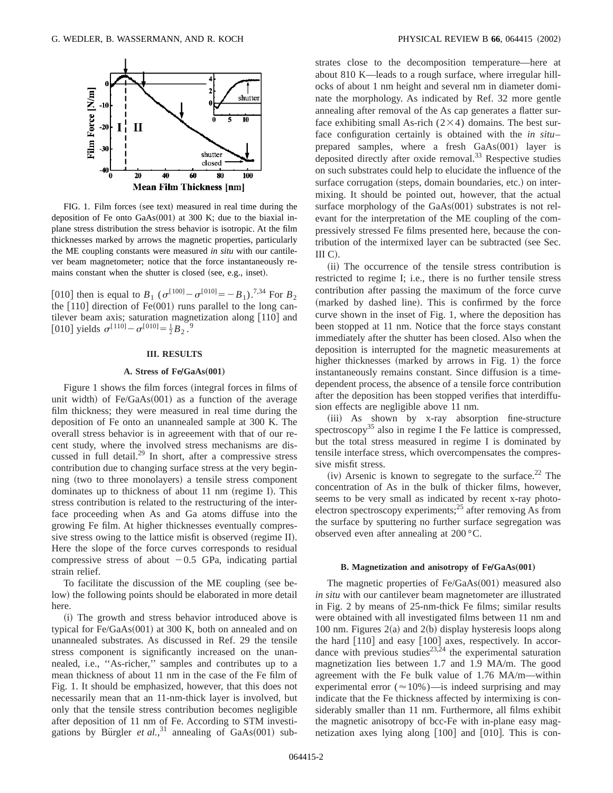

FIG. 1. Film forces (see text) measured in real time during the deposition of Fe onto  $GaAs(001)$  at 300 K; due to the biaxial inplane stress distribution the stress behavior is isotropic. At the film thicknesses marked by arrows the magnetic properties, particularly the ME coupling constants were measured *in situ* with our cantilever beam magnetometer; notice that the force instantaneously remains constant when the shutter is closed (see, e.g., inset).

[010] then is equal to  $B_1$  ( $\sigma^{[100]} - \sigma^{[010]} = -B_1$ ).<sup>7,34</sup> For  $B_2$ the  $[110]$  direction of Fe $(001)$  runs parallel to the long cantilever beam axis; saturation magnetization along  $[110]$  and [010] yields  $\sigma^{[110]} - \sigma^{[010]} = \frac{1}{2} B_2^{\bullet}$ .<sup>9</sup>

#### **III. RESULTS**

#### A. Stress of Fe/GaAs $(001)$

Figure 1 shows the film forces (integral forces in films of unit width) of  $Fe/GaAs(001)$  as a function of the average film thickness; they were measured in real time during the deposition of Fe onto an unannealed sample at 300 K. The overall stress behavior is in agreeement with that of our recent study, where the involved stress mechanisms are discussed in full detail. $29$  In short, after a compressive stress contribution due to changing surface stress at the very beginning (two to three monolayers) a tensile stress component dominates up to thickness of about 11 nm (regime I). This stress contribution is related to the restructuring of the interface proceeding when As and Ga atoms diffuse into the growing Fe film. At higher thicknesses eventually compressive stress owing to the lattice misfit is observed (regime II). Here the slope of the force curves corresponds to residual compressive stress of about  $-0.5$  GPa, indicating partial strain relief.

To facilitate the discussion of the ME coupling (see below) the following points should be elaborated in more detail here.

(i) The growth and stress behavior introduced above is typical for  $Fe/GaAs(001)$  at 300 K, both on annealed and on unannealed substrates. As discussed in Ref. 29 the tensile stress component is significantly increased on the unannealed, i.e., ''As-richer,'' samples and contributes up to a mean thickness of about 11 nm in the case of the Fe film of Fig. 1. It should be emphasized, however, that this does not necessarily mean that an 11-nm-thick layer is involved, but only that the tensile stress contribution becomes negligible after deposition of 11 nm of Fe. According to STM investigations by Bürgler *et al.*,<sup>31</sup> annealing of GaAs $(001)$  sub-

strates close to the decomposition temperature—here at about 810 K—leads to a rough surface, where irregular hillocks of about 1 nm height and several nm in diameter dominate the morphology. As indicated by Ref. 32 more gentle annealing after removal of the As cap generates a flatter surface exhibiting small As-rich  $(2\times4)$  domains. The best surface configuration certainly is obtained with the *in situ*– prepared samples, where a fresh  $GaAs(001)$  layer is deposited directly after oxide removal.33 Respective studies on such substrates could help to elucidate the influence of the surface corrugation (steps, domain boundaries, etc.) on intermixing. It should be pointed out, however, that the actual surface morphology of the  $GaAs(001)$  substrates is not relevant for the interpretation of the ME coupling of the compressively stressed Fe films presented here, because the contribution of the intermixed layer can be subtracted (see Sec.  $III C$ ).

(ii) The occurrence of the tensile stress contribution is restricted to regime I; i.e., there is no further tensile stress contribution after passing the maximum of the force curve (marked by dashed line). This is confirmed by the force curve shown in the inset of Fig. 1, where the deposition has been stopped at 11 nm. Notice that the force stays constant immediately after the shutter has been closed. Also when the deposition is interrupted for the magnetic measurements at higher thicknesses (marked by arrows in Fig. 1) the force instantaneously remains constant. Since diffusion is a timedependent process, the absence of a tensile force contribution after the deposition has been stopped verifies that interdiffusion effects are negligible above 11 nm.

(iii) As shown by x-ray absorption fine-structure spectroscopy<sup>35</sup> also in regime I the Fe lattice is compressed, but the total stress measured in regime I is dominated by tensile interface stress, which overcompensates the compressive misfit stress.

(iv) Arsenic is known to segregate to the surface.<sup>22</sup> The concentration of As in the bulk of thicker films, however, seems to be very small as indicated by recent x-ray photoelectron spectroscopy experiments; $^{25}$  after removing As from the surface by sputtering no further surface segregation was observed even after annealing at 200 °C.

#### B. Magnetization and anisotropy of Fe/GaAs $(001)$

The magnetic properties of  $Fe/GaAs(001)$  measured also *in situ* with our cantilever beam magnetometer are illustrated in Fig. 2 by means of 25-nm-thick Fe films; similar results were obtained with all investigated films between 11 nm and 100 nm. Figures  $2(a)$  and  $2(b)$  display hysteresis loops along the hard  $[110]$  and easy  $[100]$  axes, respectively. In accordance with previous studies $23,24$  the experimental saturation magnetization lies between 1.7 and 1.9 MA/m. The good agreement with the Fe bulk value of 1.76 MA/m—within experimental error ( $\approx$ 10%)—is indeed surprising and may indicate that the Fe thickness affected by intermixing is considerably smaller than 11 nm. Furthermore, all films exhibit the magnetic anisotropy of bcc-Fe with in-plane easy magnetization axes lying along  $[100]$  and  $[010]$ . This is con-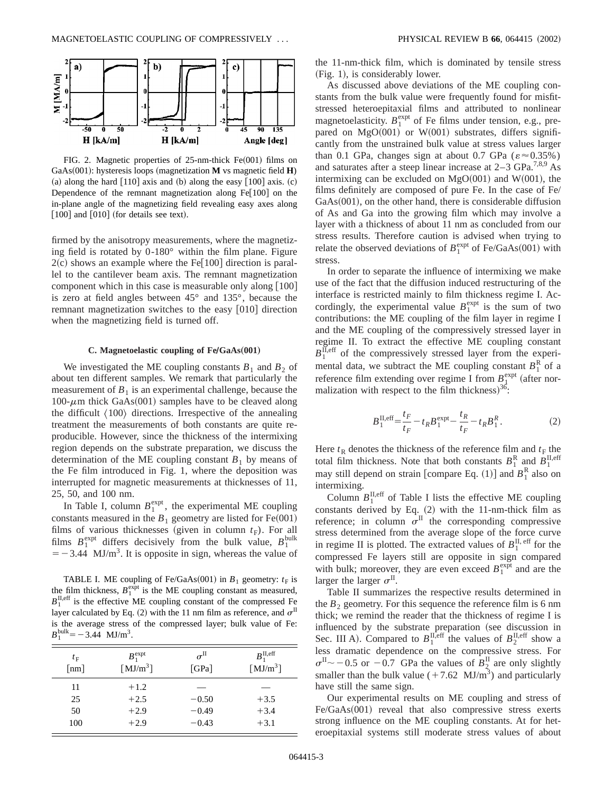

FIG. 2. Magnetic properties of  $25$ -nm-thick Fe $(001)$  films on GaAs $(001)$ : hysteresis loops (magnetization **M** vs magnetic field **H**) (a) along the hard  $[110]$  axis and (b) along the easy  $[100]$  axis.  $(c)$ Dependence of the remnant magnetization along  $Fe[100]$  on the in-plane angle of the magnetizing field revealing easy axes along  $[100]$  and  $[010]$  (for details see text).

firmed by the anisotropy measurements, where the magnetizing field is rotated by 0-180° within the film plane. Figure  $2(c)$  shows an example where the Fe $[100]$  direction is parallel to the cantilever beam axis. The remnant magnetization component which in this case is measurable only along  $[100]$ is zero at field angles between 45° and 135°, because the remnant magnetization switches to the easy  $[010]$  direction when the magnetizing field is turned off.

### **C. Magnetoelastic coupling of FeÕGaAs**"**001**…

We investigated the ME coupling constants  $B_1$  and  $B_2$  of about ten different samples. We remark that particularly the measurement of  $B_1$  is an experimental challenge, because the  $100-\mu$ m thick GaAs $(001)$  samples have to be cleaved along the difficult  $\langle 100 \rangle$  directions. Irrespective of the annealing treatment the measurements of both constants are quite reproducible. However, since the thickness of the intermixing region depends on the substrate preparation, we discuss the determination of the ME coupling constant  $B_1$  by means of the Fe film introduced in Fig. 1, where the deposition was interrupted for magnetic measurements at thicknesses of 11, 25, 50, and 100 nm.

In Table I, column  $B_1^{\text{expt}}$ , the experimental ME coupling constants measured in the  $B_1$  geometry are listed for Fe $(001)$ films of various thicknesses (given in column  $t_F$ ). For all films  $B_1^{\text{expt}}$  differs decisively from the bulk value,  $B_1^{\text{bulk}}$  $=$  -3.44 MJ/m<sup>3</sup>. It is opposite in sign, whereas the value of

TABLE I. ME coupling of Fe/GaAs(001) in  $B_1$  geometry:  $t_F$  is the film thickness,  $B_1^{\text{expt}}$  is the ME coupling constant as measured,  $B_1^{\text{II,eff}}$  is the effective ME coupling constant of the compressed Fe layer calculated by Eq. (2) with the 11 nm film as reference, and  $\sigma^{\text{II}}$ is the average stress of the compressed layer; bulk value of Fe:  $B_1^{\text{bulk}} = -3.44 \text{ MJ/m}^3.$ 

| $t_{\rm F}$<br>[nm] | $B_1^{\text{expt}}$<br>$\lceil MJ/m^3\rceil$ | $\sigma^{\text{II}}$<br>[GPa] | $B_1^{\text{II,eff}}$<br>$\lceil MJ/m^3\rceil$ |
|---------------------|----------------------------------------------|-------------------------------|------------------------------------------------|
| 11                  | $+1.2$                                       |                               |                                                |
| 25                  | $+2.5$                                       | $-0.50$                       | $+3.5$                                         |
| 50                  | $+2.9$                                       | $-0.49$                       | $+3.4$                                         |
| 100                 | $+2.9$                                       | $-0.43$                       | $+3.1$                                         |

the 11-nm-thick film, which is dominated by tensile stress  $(Fig. 1)$ , is considerably lower.

As discussed above deviations of the ME coupling constants from the bulk value were frequently found for misfitstressed heteroepitaxial films and attributed to nonlinear magnetoelasticity.  $B_1^{\text{expt}}$  of Fe films under tension, e.g., prepared on  $MgO(001)$  or  $W(001)$  substrates, differs significantly from the unstrained bulk value at stress values larger than 0.1 GPa, changes sign at about 0.7 GPa ( $\varepsilon \approx 0.35\%$ ) and saturates after a steep linear increase at  $2-3$  GPa.<sup>7,8,9</sup> As intermixing can be excluded on  $MgO(001)$  and W $(001)$ , the films definitely are composed of pure Fe. In the case of Fe/  $GaAs(001)$ , on the other hand, there is considerable diffusion of As and Ga into the growing film which may involve a layer with a thickness of about 11 nm as concluded from our stress results. Therefore caution is advised when trying to relate the observed deviations of  $B_1^{\text{expt}}$  of Fe/GaAs(001) with stress.

In order to separate the influence of intermixing we make use of the fact that the diffusion induced restructuring of the interface is restricted mainly to film thickness regime I. Accordingly, the experimental value  $B_1^{\text{expt}}$  is the sum of two contributions: the ME coupling of the film layer in regime I and the ME coupling of the compressively stressed layer in regime II. To extract the effective ME coupling constant  $B_1^{\overline{II},\text{eff}}$  of the compressively stressed layer from the experimental data, we subtract the ME coupling constant  $B_1^R$  of a reference film extending over regime I from  $B_1^{\text{expt}}$  (after normalization with respect to the film thickness) $36$ :

$$
B_1^{\text{II,eff}} = \frac{t_F}{t_F} - t_R B_1^{\text{expt}} - \frac{t_R}{t_F} - t_R B_1^R. \tag{2}
$$

Here  $t<sub>R</sub>$  denotes the thickness of the reference film and  $t<sub>F</sub>$  the total film thickness. Note that both constants  $B_1^R$  and  $B_1^{\text{II,eff}}$ may still depend on strain [compare Eq.  $(1)$ ] and  $B_1^R$  also on intermixing.

Column  $B_1^{\text{II,eff}}$  of Table I lists the effective ME coupling constants derived by Eq.  $(2)$  with the 11-nm-thick film as reference; in column  $\sigma^{\text{II}}$  the corresponding compressive stress determined from the average slope of the force curve in regime II is plotted. The extracted values of  $B_1^{\text{II, eff}}$  for the compressed Fe layers still are opposite in sign compared with bulk; moreover, they are even exceed  $B_1^{\text{expt}}$  and are the larger the larger  $\sigma^{\text{II}}$ .

Table II summarizes the respective results determined in the  $B_2$  geometry. For this sequence the reference film is 6 nm thick; we remind the reader that the thickness of regime I is influenced by the substrate preparation (see discussion in Sec. III A). Compared to  $B_1^{\text{II,eff}}$  the values of  $B_2^{\text{II,eff}}$  show a less dramatic dependence on the compressive stress. For  $\sigma^{\text{II}} \sim -0.5$  or  $-0.7$  GPa the values of  $B_2^{\text{II}}$  are only slightly smaller than the bulk value  $(+7.62 \text{ MJ/m}^3)$  and particularly have still the same sign.

Our experimental results on ME coupling and stress of  $Fe/GaAs(001)$  reveal that also compressive stress exerts strong influence on the ME coupling constants. At for heteroepitaxial systems still moderate stress values of about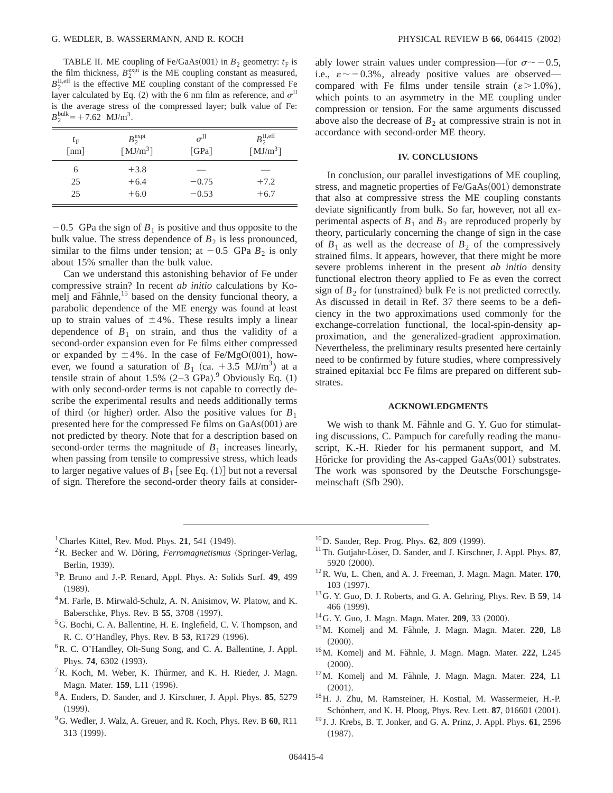TABLE II. ME coupling of Fe/GaAs(001) in  $B_2$  geometry:  $t_F$  is the film thickness,  $B_2^{\text{expt}}$  is the ME coupling constant as measured,  $B_2^{\text{II,eff}}$  is the effective ME coupling constant of the compressed Fe layer calculated by Eq. (2) with the 6 nm film as reference, and  $\sigma^{\text{II}}$ is the average stress of the compressed layer; bulk value of Fe:  $B_2^{\text{bulk}}$  = +7.62 MJ/m<sup>3</sup>.

| $t_{\rm F}$<br>$\lceil nm \rceil$ | $B_{2}^{\text{expt}}$<br>$\lceil MJ/m^3\rceil$ | $\sigma^{\text{II}}$<br>[GPa] | $B_{2}^{\text{II,eff}}$<br>$\lceil MJ/m^3\rceil$ |
|-----------------------------------|------------------------------------------------|-------------------------------|--------------------------------------------------|
| 6                                 | $+3.8$                                         |                               |                                                  |
| 25                                | $+6.4$                                         | $-0.75$                       | $+7.2$                                           |
| 25                                | $+6.0$                                         | $-0.53$                       | $+6.7$                                           |

 $-0.5$  GPa the sign of  $B_1$  is positive and thus opposite to the bulk value. The stress dependence of  $B_2$  is less pronounced, similar to the films under tension; at  $-0.5$  GPa  $B_2$  is only about 15% smaller than the bulk value.

Can we understand this astonishing behavior of Fe under compressive strain? In recent *ab initio* calculations by Komelj and Fähnle,<sup>15</sup> based on the density funcional theory, a parabolic dependence of the ME energy was found at least up to strain values of  $\pm 4\%$ . These results imply a linear dependence of  $B_1$  on strain, and thus the validity of a second-order expansion even for Fe films either compressed or expanded by  $\pm 4\%$ . In the case of Fe/MgO(001), however, we found a saturation of  $B_1$  (ca. +3.5 MJ/m<sup>3</sup>) at a tensile strain of about  $1.5\%$   $(2-3 \text{ GPa})$ . Obviously Eq. (1) with only second-order terms is not capable to correctly describe the experimental results and needs additionally terms of third (or higher) order. Also the positive values for  $B_1$ presented here for the compressed Fe films on  $GaAs(001)$  are not predicted by theory. Note that for a description based on second-order terms the magnitude of  $B_1$  increases linearly, when passing from tensile to compressive stress, which leads to larger negative values of  $B_1$  [see Eq. (1)] but not a reversal of sign. Therefore the second-order theory fails at considerably lower strain values under compression—for  $\sigma \sim -0.5$ , i.e.,  $\varepsilon \sim -0.3\%$ , already positive values are observed compared with Fe films under tensile strain  $(\epsilon > 1.0\%)$ , which points to an asymmetry in the ME coupling under compression or tension. For the same arguments discussed above also the decrease of  $B_2$  at compressive strain is not in accordance with second-order ME theory.

#### **IV. CONCLUSIONS**

In conclusion, our parallel investigations of ME coupling, stress, and magnetic properties of  $Fe/GaAs(001)$  demonstrate that also at compressive stress the ME coupling constants deviate significantly from bulk. So far, however, not all experimental aspects of  $B_1$  and  $B_2$  are reproduced properly by theory, particularly concerning the change of sign in the case of  $B_1$  as well as the decrease of  $B_2$  of the compressively strained films. It appears, however, that there might be more severe problems inherent in the present *ab initio* density functional electron theory applied to Fe as even the correct sign of  $B_2$  for (unstrained) bulk Fe is not predicted correctly. As discussed in detail in Ref. 37 there seems to be a deficiency in the two approximations used commonly for the exchange-correlation functional, the local-spin-density approximation, and the generalized-gradient approximation. Nevertheless, the preliminary results presented here certainly need to be confirmed by future studies, where compressively strained epitaxial bcc Fe films are prepared on different substrates.

#### **ACKNOWLEDGMENTS**

We wish to thank M. Fahnle and G. Y. Guo for stimulating discussions, C. Pampuch for carefully reading the manuscript, K.-H. Rieder for his permanent support, and M. Höricke for providing the As-capped  $GaAs(001)$  substrates. The work was sponsored by the Deutsche Forschungsgemeinschaft (Sfb 290).

 $<sup>1</sup>$  Charles Kittel, Rev. Mod. Phys. 21, 541 (1949).</sup>

- <sup>2</sup>R. Becker and W. Döring, *Ferromagnetismus* (Springer-Verlag, Berlin, 1939).
- 3P. Bruno and J.-P. Renard, Appl. Phys. A: Solids Surf. **49**, 499  $(1989).$
- <sup>4</sup>M. Farle, B. Mirwald-Schulz, A. N. Anisimov, W. Platow, and K. Baberschke, Phys. Rev. B 55, 3708 (1997).
- 5G. Bochi, C. A. Ballentine, H. E. Inglefield, C. V. Thompson, and R. C. O'Handley, Phys. Rev. B 53, R1729 (1996).
- 6R. C. O'Handley, Oh-Sung Song, and C. A. Ballentine, J. Appl. Phys. 74, 6302 (1993).
- ${}^{7}R$ . Koch, M. Weber, K. Thürmer, and K. H. Rieder, J. Magn. Magn. Mater. 159, L11 (1996).
- 8A. Enders, D. Sander, and J. Kirschner, J. Appl. Phys. **85**, 5279  $(1999).$
- 9G. Wedler, J. Walz, A. Greuer, and R. Koch, Phys. Rev. B **60**, R11 313 (1999).
- <sup>10</sup>D. Sander, Rep. Prog. Phys. **62**, 809 (1999).
- <sup>11</sup>Th. Gutjahr-Löser, D. Sander, and J. Kirschner, J. Appl. Phys. 87, 5920 (2000).
- 12R. Wu, L. Chen, and A. J. Freeman, J. Magn. Magn. Mater. **170**, 103 (1997).
- 13G. Y. Guo, D. J. Roberts, and G. A. Gehring, Phys. Rev. B **59**, 14 466 (1999).
- <sup>14</sup>G. Y. Guo, J. Magn. Magn. Mater. **209**, 33 (2000).
- <sup>15</sup>M. Komelj and M. Fähnle, J. Magn. Magn. Mater. **220**, L8  $(2000).$
- <sup>16</sup>M. Komelj and M. Fähnle, J. Magn. Magn. Mater. 222, L245  $(2000).$
- <sup>17</sup>M. Komelj and M. Fähnle, J. Magn. Magn. Mater. 224, L1  $(2001).$
- 18H. J. Zhu, M. Ramsteiner, H. Kostial, M. Wassermeier, H.-P. Schönherr, and K. H. Ploog, Phys. Rev. Lett. **87**, 016601 (2001).
- <sup>19</sup> J. J. Krebs, B. T. Jonker, and G. A. Prinz, J. Appl. Phys. **61**, 2596  $(1987).$